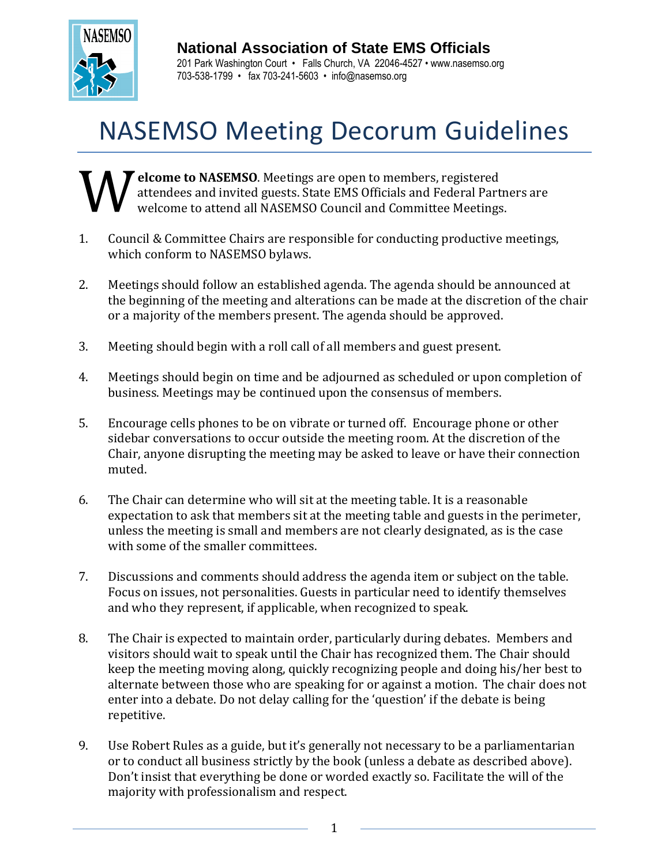

## **National Association of State EMS Officials**

201 Park Washington Court • Falls Church, VA 22046-4527 • www.nasemso.org 703-538-1799 • fax 703-241-5603 • info@nasemso.org

## NASEMSO Meeting Decorum Guidelines

**Example 3** elcome to NASEMSO. Meetings are open to members, registered attendees and invited guests. State EMS Officials and Federal Partners are welcome to attend all NASEMSO Council and Committee Meetings. W

- 1. Council & Committee Chairs are responsible for conducting productive meetings, which conform to NASEMSO bylaws.
- 2. Meetings should follow an established agenda. The agenda should be announced at the beginning of the meeting and alterations can be made at the discretion of the chair or a majority of the members present. The agenda should be approved.
- 3. Meeting should begin with a roll call of all members and guest present.
- 4. Meetings should begin on time and be adjourned as scheduled or upon completion of business. Meetings may be continued upon the consensus of members.
- 5. Encourage cells phones to be on vibrate or turned off. Encourage phone or other sidebar conversations to occur outside the meeting room. At the discretion of the Chair, anyone disrupting the meeting may be asked to leave or have their connection muted.
- 6. The Chair can determine who will sit at the meeting table. It is a reasonable expectation to ask that members sit at the meeting table and guests in the perimeter, unless the meeting is small and members are not clearly designated, as is the case with some of the smaller committees.
- 7. Discussions and comments should address the agenda item or subject on the table. Focus on issues, not personalities. Guests in particular need to identify themselves and who they represent, if applicable, when recognized to speak.
- 8. The Chair is expected to maintain order, particularly during debates. Members and visitors should wait to speak until the Chair has recognized them. The Chair should keep the meeting moving along, quickly recognizing people and doing his/her best to alternate between those who are speaking for or against a motion. The chair does not enter into a debate. Do not delay calling for the 'question' if the debate is being repetitive.
- 9. Use Robert Rules as a guide, but it's generally not necessary to be a parliamentarian or to conduct all business strictly by the book (unless a debate as described above). Don't insist that everything be done or worded exactly so. Facilitate the will of the majority with professionalism and respect.